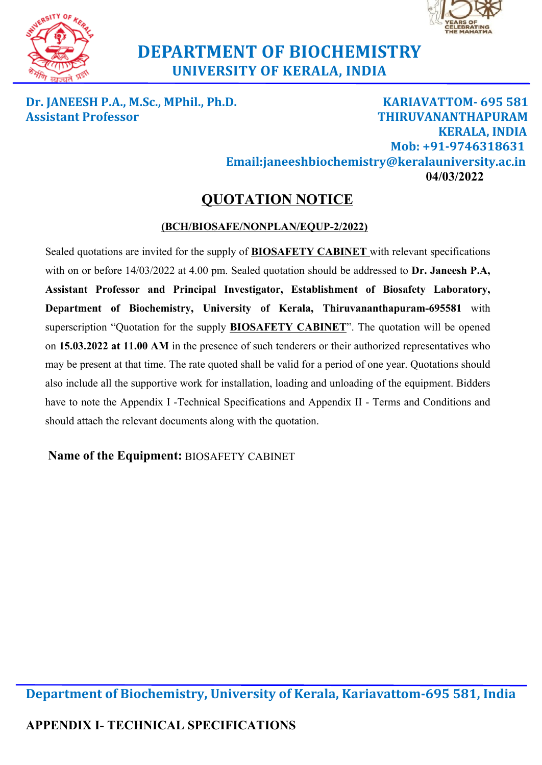



# **DEPARTMENT OF BIOCHEMISTRY UNIVERSITY OF KERALA, INDIA**

**Dr. JANEESH P.A., M.Sc., MPhil., Ph.D. KARIAVATTOM- 695 581 Assistant Professor THIRUVANANTHAPURAM KERALA, INDIA Mob: +91-9746318631 Email:janeeshbiochemistry@keralauniversity.ac.in 04/03/2022**

# **QUOTATION NOTICE**

### **(BCH/BIOSAFE/NONPLAN/EQUP-2/2022)**

Sealed quotations are invited for the supply of **BIOSAFETY CABINET** with relevant specifications with on or before 14/03/2022 at 4.00 pm. Sealed quotation should be addressed to **Dr. Janeesh P.A, Assistant Professor and Principal Investigator, Establishment of Biosafety Laboratory, Department of Biochemistry, University of Kerala, Thiruvananthapuram-695581** with superscription "Quotation for the supply **BIOSAFETY CABINET**". The quotation will be opened on **15.03.2022 at 11.00 AM** in the presence of such tenderers or their authorized representatives who may be present at that time. The rate quoted shall be valid for a period of one year. Quotations should also include all the supportive work for installation, loading and unloading of the equipment. Bidders have to note the Appendix I -Technical Specifications and Appendix II - Terms and Conditions and should attach the relevant documents along with the quotation.

# **Name of the Equipment:** BIOSAFETY CABINET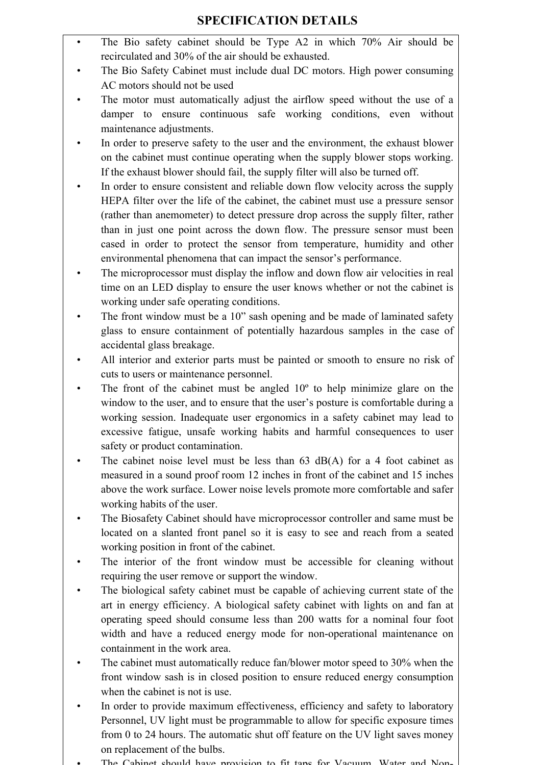- The Bio safety cabinet should be Type A2 in which 70% Air should be recirculated and 30% of the air should be exhausted.
- The Bio Safety Cabinet must include dual DC motors. High power consuming AC motors should not be used
- The motor must automatically adjust the airflow speed without the use of a damper to ensure continuous safe working conditions, even without maintenance adjustments.
- In order to preserve safety to the user and the environment, the exhaust blower on the cabinet must continue operating when the supply blower stops working. If the exhaust blower should fail, the supply filter will also be turned off.
- In order to ensure consistent and reliable down flow velocity across the supply HEPA filter over the life of the cabinet, the cabinet must use a pressure sensor (rather than anemometer) to detect pressure drop across the supply filter, rather than in just one point across the down flow. The pressure sensor must been cased in order to protect the sensor from temperature, humidity and other environmental phenomena that can impact the sensor's performance.
- The microprocessor must display the inflow and down flow air velocities in real time on an LED display to ensure the user knows whether or not the cabinet is working under safe operating conditions.
- The front window must be a 10" sash opening and be made of laminated safety glass to ensure containment of potentially hazardous samples in the case of accidental glass breakage.
- All interior and exterior parts must be painted or smooth to ensure no risk of cuts to users or maintenance personnel.
- The front of the cabinet must be angled  $10<sup>o</sup>$  to help minimize glare on the window to the user, and to ensure that the user's posture is comfortable during a working session. Inadequate user ergonomics in a safety cabinet may lead to excessive fatigue, unsafe working habits and harmful consequences to user safety or product contamination.
- The cabinet noise level must be less than  $63$  dB(A) for a 4 foot cabinet as measured in a sound proof room 12 inches in front of the cabinet and 15 inches above the work surface. Lower noise levels promote more comfortable and safer working habits of the user.
- The Biosafety Cabinet should have microprocessor controller and same must be located on a slanted front panel so it is easy to see and reach from a seated working position in front of the cabinet.
- The interior of the front window must be accessible for cleaning without requiring the user remove or support the window.
- The biological safety cabinet must be capable of achieving current state of the art in energy efficiency. A biological safety cabinet with lights on and fan at operating speed should consume less than 200 watts for a nominal four foot width and have a reduced energy mode for non-operational maintenance on containment in the work area.
- The cabinet must automatically reduce fan/blower motor speed to 30% when the front window sash is in closed position to ensure reduced energy consumption when the cabinet is not is use.
- In order to provide maximum effectiveness, efficiency and safety to laboratory Personnel, UV light must be programmable to allow for specific exposure times from 0 to 24 hours. The automatic shut off feature on the UV light saves money on replacement of the bulbs.
- The Cabinet should have provision to fit taps for Vacuum Water and Non-